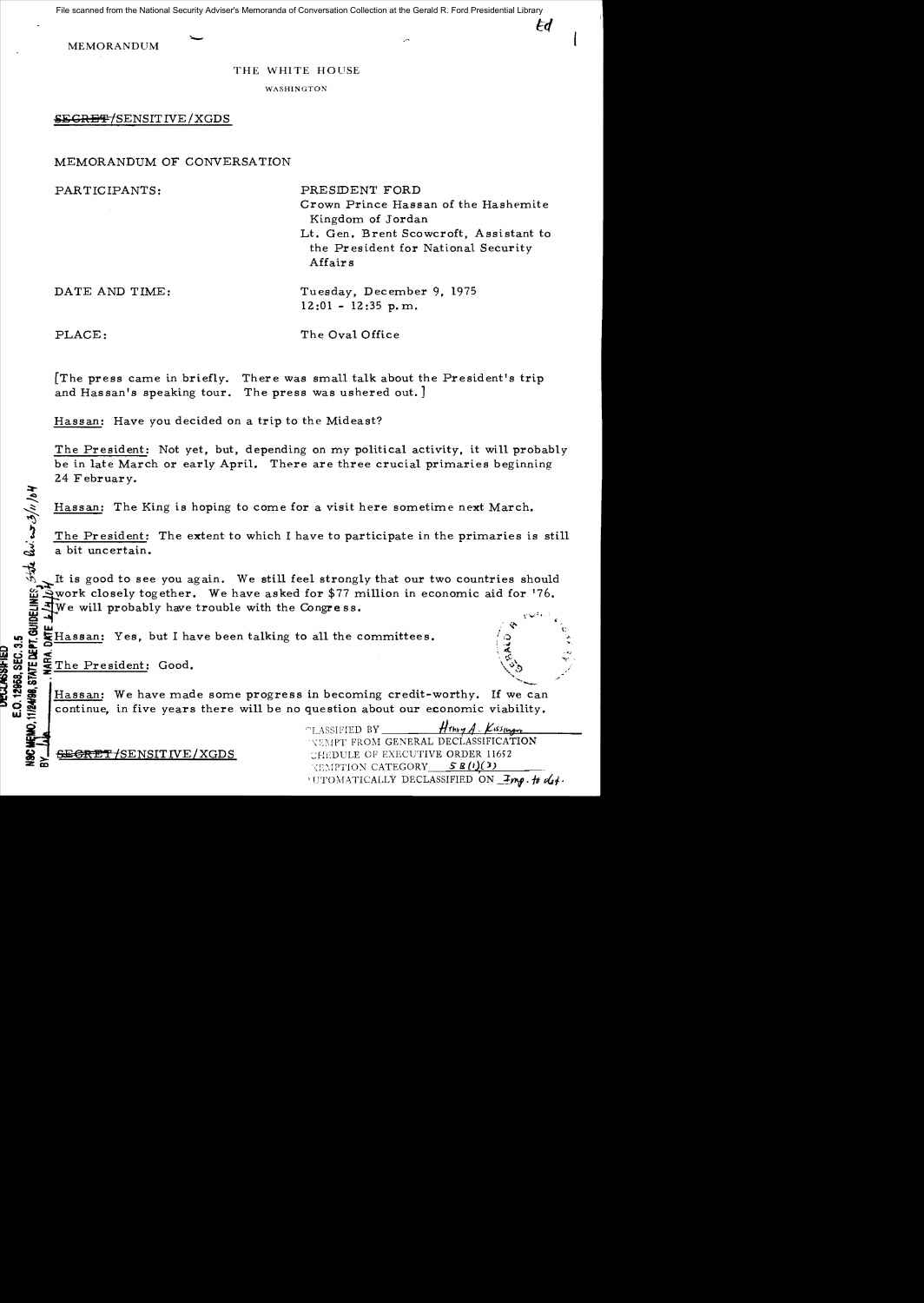File scanned from the National Security Adviser's Memoranda of Conversation Collection at the Gerald R. Ford Presidential Library

Fd

MEMORANDUM

## THE WHITE HOUSE

WASHINGTON

**SEGRET/SENSITIVE / XGDS** 

## MEMORANDUM OF CONVERSATION

| PARTICIPANTS:  | PRESIDENT FORD<br>Crown Prince Hassan of the Hashemite<br>Kingdom of Jordan<br>Lt. Gen. Brent Scowcroft, Assistant to<br>the President for National Security<br>Affairs |
|----------------|-------------------------------------------------------------------------------------------------------------------------------------------------------------------------|
| DATE AND TIME: | Tuesday, December 9, 1975<br>$12:01 - 12:35$ p.m.                                                                                                                       |
| PLACE:         | The Oval Office                                                                                                                                                         |

[The press came in briefly. There was small talk about the President's trip and Hassan's speaking tour. The press was ushered out. J

Hassan: Have you decided on a trip to the Mideast?

The President: Not *yet,* but, depending on my political activity, it will probably be in late March or early April. There are three crucial primaries beginning

Hassan: The King is hoping to come for a visit here sometime next March.

24 February.<br>
Hassan: The<br>  $\frac{1}{2}$  Hassan: The<br>  $\frac{1}{2}$  The Presiden<br>  $\frac{1}{2}$  The Uncertain The President: The extent to which I have to participate in the primaries is still a bit uncertain.

The good to see you again. We still feel strongly that our two countries should<br>
in work closely together. We have asked for \$77 million in economic aid for '76.<br>
The will probably have trouble with the Congress.<br>  $\frac{1}{2$ work closely together. We have asked for \$77 million in economic aid for '76. We will probably have trouble with the Congress.

- LW ' LW ' Hassan: Yes, but I have been talking to all the committees.<br>  $\frac{1}{2}$   $\frac{1}{2}$   $\frac{1}{2}$   $\frac{1}{2}$   $\frac{1}{2}$  The President: Good.<br>  $\frac{1}{2}$   $\frac{1}{2}$   $\frac{1}{2}$   $\frac{1}{2}$   $\frac{1}{2}$   $\frac{1}{2}$   $\frac{1}{2}$   $\frac{1}{2$ Hassan: We have made some progress in becoming credit-worthy. If we can continue, in five years there will be no question about our economic viability.

 $\text{PLASSIFIED BY}$   $\frac{H_{thy}A}{H_{thy}A}$ . *Kiss<sub>llager</sub> NEMPT FROM GENERAL DECLASSIFICATION* **SENSITIVE/XGDS** : THE CHEPTIC OF EXECUTIVE ORDER 11652 KEMPTION CATEGORY 5 **R**(1)(3)  $\gamma$ UTOMATICALLY DECLASSIFIED ON  $\mathcal{I}_{\mathcal{M}}$ . fb  $\mathcal{A}_{\mathcal{I}}$ .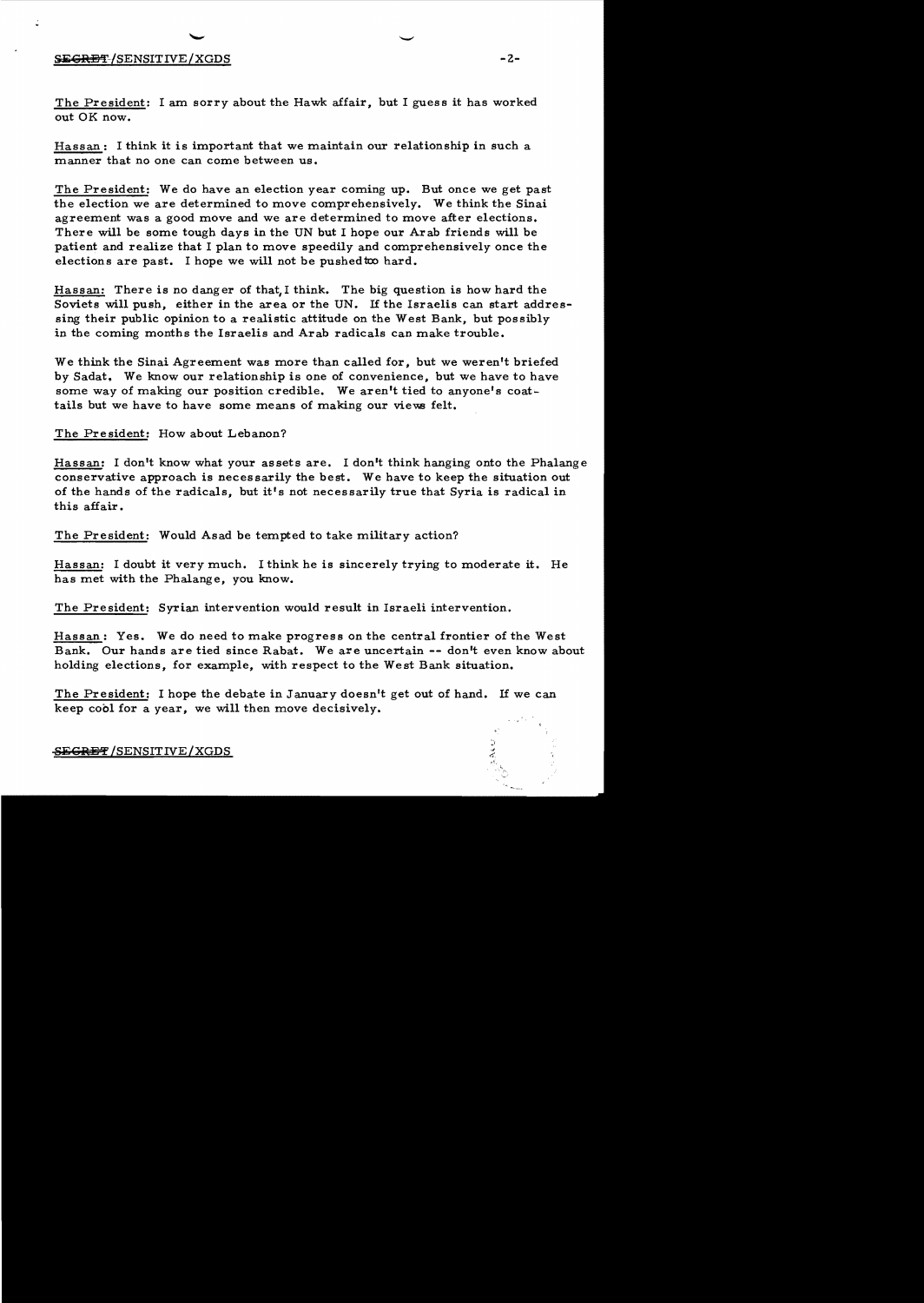## S<del>ECRET</del>/SENSITIVE/XGDS **-2**-

The President: I am sorry about the Hawk affair, but I guess it has worked out OK now.

Hassan: I think it is important that we maintain our relationship in such a manner that no one can come between us.

The President: We do have an election year coming up. But once we get past the election we are determined to move comprehensively. We think the Sinai agreement was a good move and we are determined to move after elections. There will be some tough days in the UN but I hope our Arab friends will be patient and realize that I plan to move speedily and comprehensively once the elections are past. I hope we will not be pushed to hard.

Hassan: There is no danger of that,I think. The big question is how hard the Soviets will push, either in the area or the UN. If the Israelis can start addressing their public opinion to a realistic attitude on the West Bank, but possibly in the coming months the Israelis and Arab radicals can make trouble.

We think the Sinai Agreement was more than called for, but we weren't briefed by Sadat. We know our relationship is one of convenience, but we have to have some way of making our position credible. We aren't tied to anyone's coattails but we have to have some means of making our views felt.

The President: How about Lebanon?

Hassan: I don't know what your assets are. I don't think hanging onto the Phalange conservative approach is necessarily the best. We have to keep the situation out of the hands of the radicals, but it's not necessarily true that Syria is radical in this affair.

The President: Would Asad be tempted to take military action?

Hassan: I doubt it very much. I think he is sincerely trying to moderate it. He has met with the Phalange, you know.

The President: Syrian intervention would result in Israeli intervention.

Hassan: Yes. We do need to make progress on the central frontier of the West Bank. Our hands are tied since Rabat. We are uncertain **--** don't even know about holding elections, for example, with respect to the West Bank situation.

The President: I hope the debate in January doesn't get out of hand. If we can keep cool for a year, we will then move decisively.

**8j;GlUs'f'** /SENSITIVE/XGDS

 $\overline{\phantom{a}}$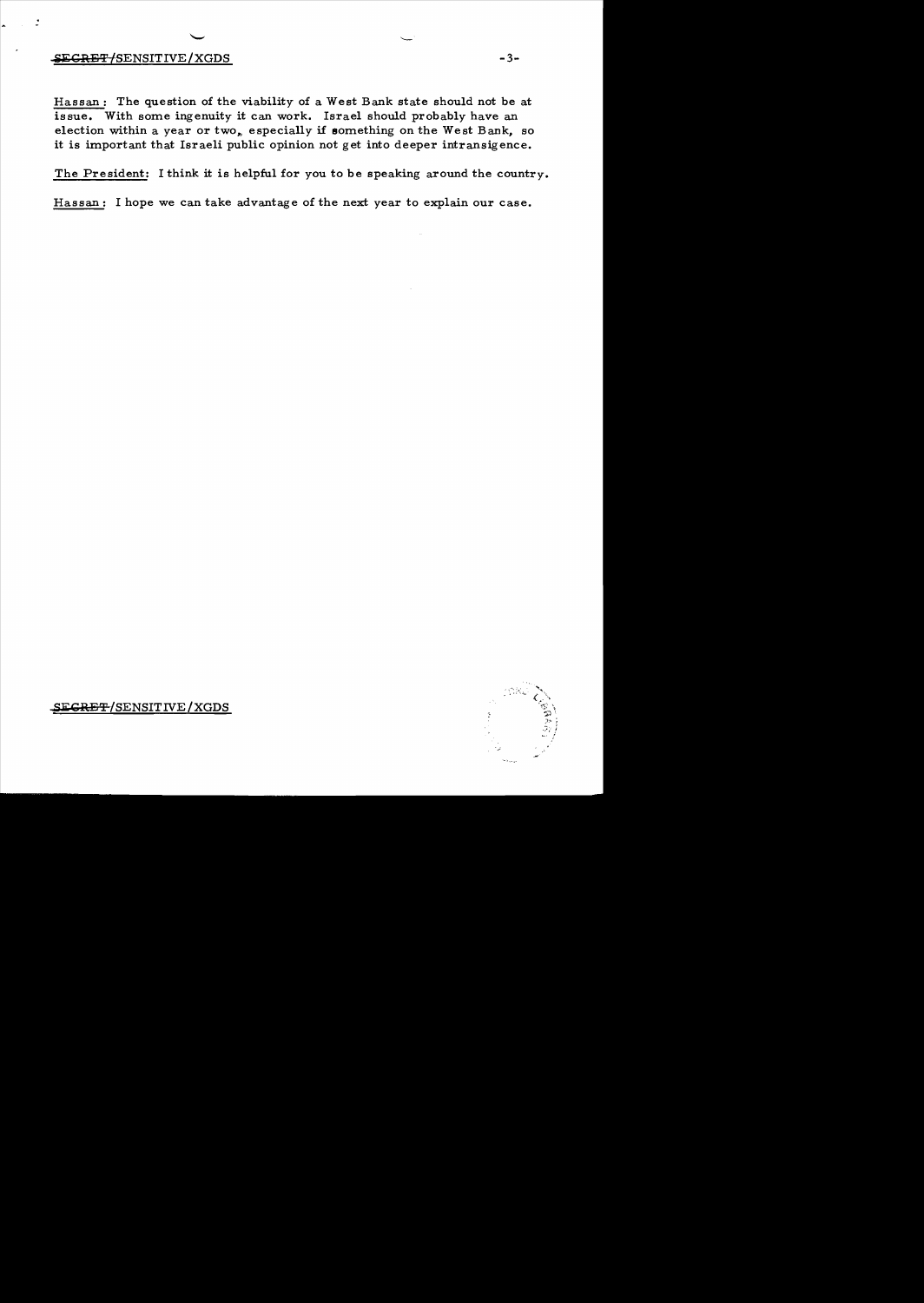## **SECRET/SENSITIVE/XGDS**

 $\mathbf{r}$ 

Hassan: The question of the viability of a West Bank state should not be at issue. With some ingenuity it can work. Israel should probably have an election within a year or two, especially if something on the West Bank, so it is important that Israeli public opinion not get into deeper intransigence.

The President: I think it is helpful for you to be speaking around the country.

Hassan: I hope we can take advantage of the next year to explain our case.



S<del>ECRET/</del>SENSITIVE/XGDS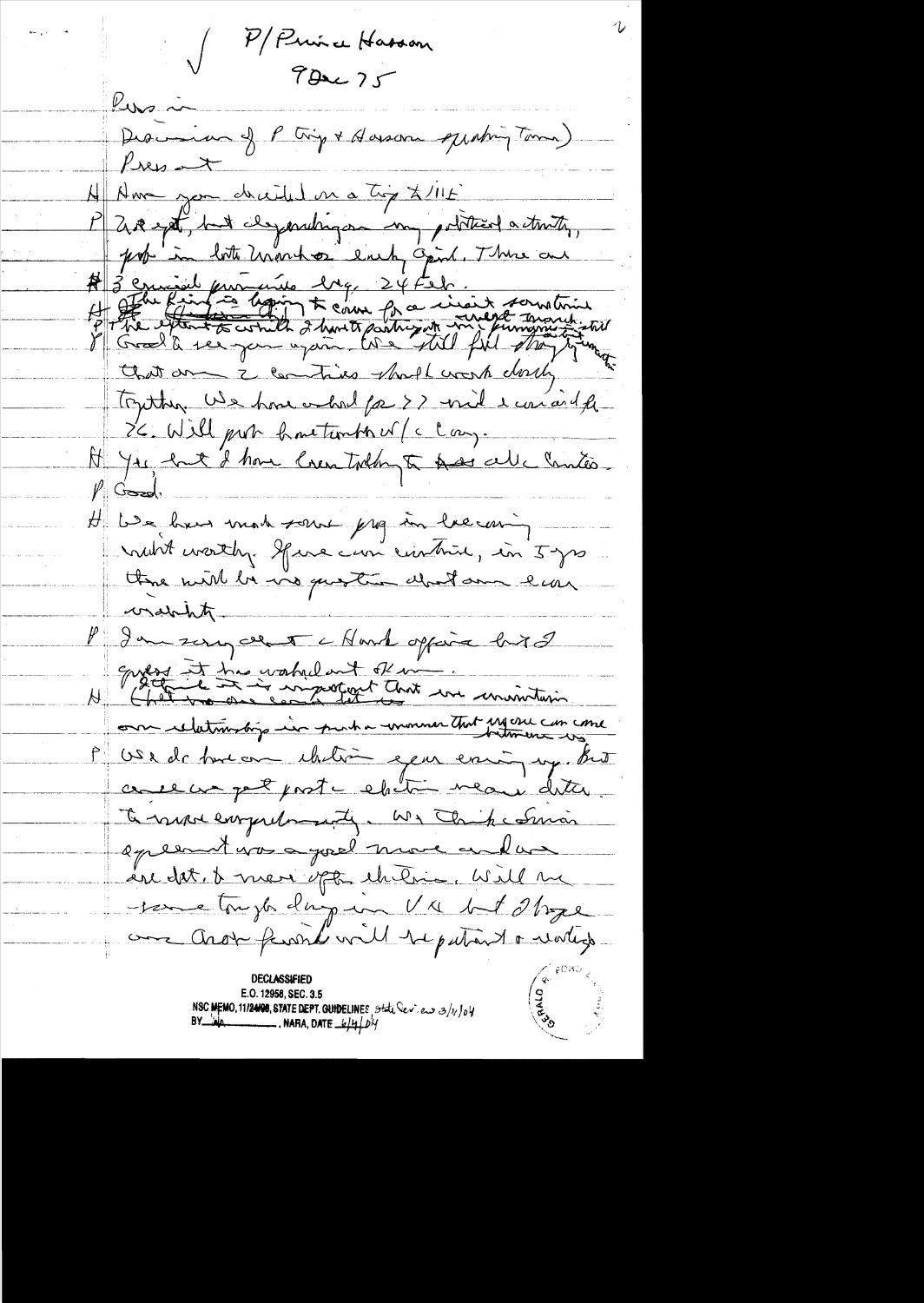P/Puise Hasson  $782275$ Kusin Descrive of Pting + Horson quating Toma)  $P$ res  $\rightarrow$ A Ame you decided in a Try X/115 P 200 ept, but chyaratinger my political activity, prob in lot Unanhor each Opinh. There are A 3 comments dry 24 feb. that are 2 contries should work dorch Touther We hove whole for >> unit ear and fe IC. Will put how timber of clay. At you hat I have loven today to have all chanter.  $\mathbb{P}$  Good, H We have made some prof in lacconing not worthy gave can cinture, in 5 yrs there will be vio question about one l'eau consideration P In surgeent chart opport bird envers et tres vahilant été in. our relationship in partia movementant essence con come P US x de tout ou chilieu epen errique prot come un pet post - ebitin meau dater To ranger comprehensantly. We Think I Smar appeared was a good more and was in dat, t men opt chitric, will me -tene trugles days un VV but 21 regé our Aros familiar le patriot e votes **DECLASSIFIED** E.O. 12958, SEC. 3.5 NSC MEMO, 11/24/08, STATE DEPT. GUIDELINES, Stati Dev. ew 3/1/04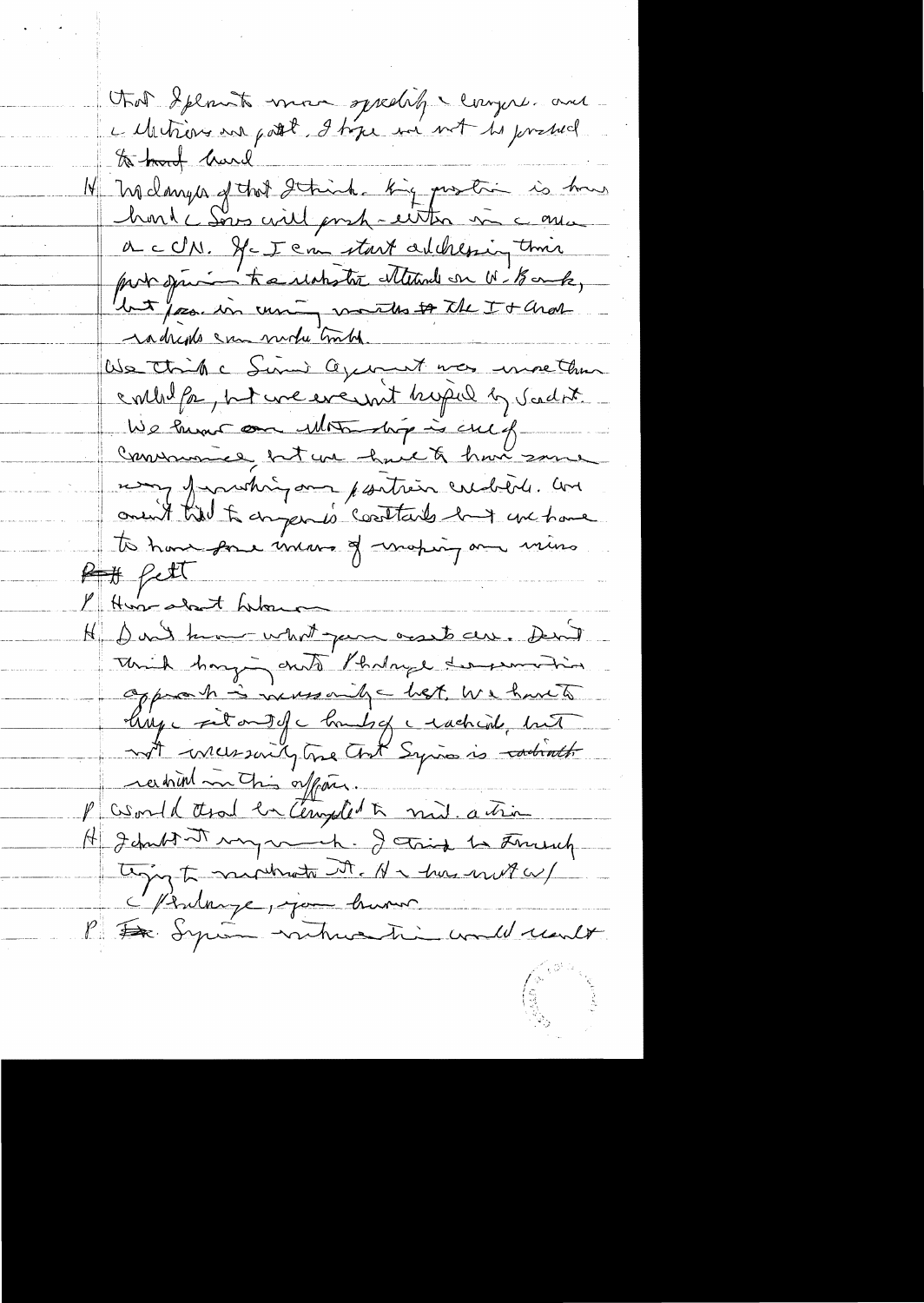tot Splant more speelig & compre and a Metiens en potit 9 tipe en not de possed Melanger of that I think hig protin is how honde Sous will poset - either in a qua a cCN. Je I can start addressing their pour spacion to a reachester alternal on W. Bank, but pose in curing months to the It Char radrents can mode truth. Us think Sim agement was more than contribut on the we everyont hoped by Scadat. We hunt on Motor hip is culf Commence, but une havet han some mong from thing and partien credible. And onent till to daygen is contains but we have To have pour incorre of waring and mino  $Hfcl$ 1 Hun-about Librar H Don't know what permouse can. Don't Think hanging and Phaloye dersemation approach is increasing west, we have to hize fit out of change rachend, hunt not incremently tome that Syria is carbineth racional matin offair. P asond that en Complet a nul. action H Johnbot my vert. J tring to Freeh. ting to minute the Harden mit a Mintange, join busin P De Syria vatrice ti could realt